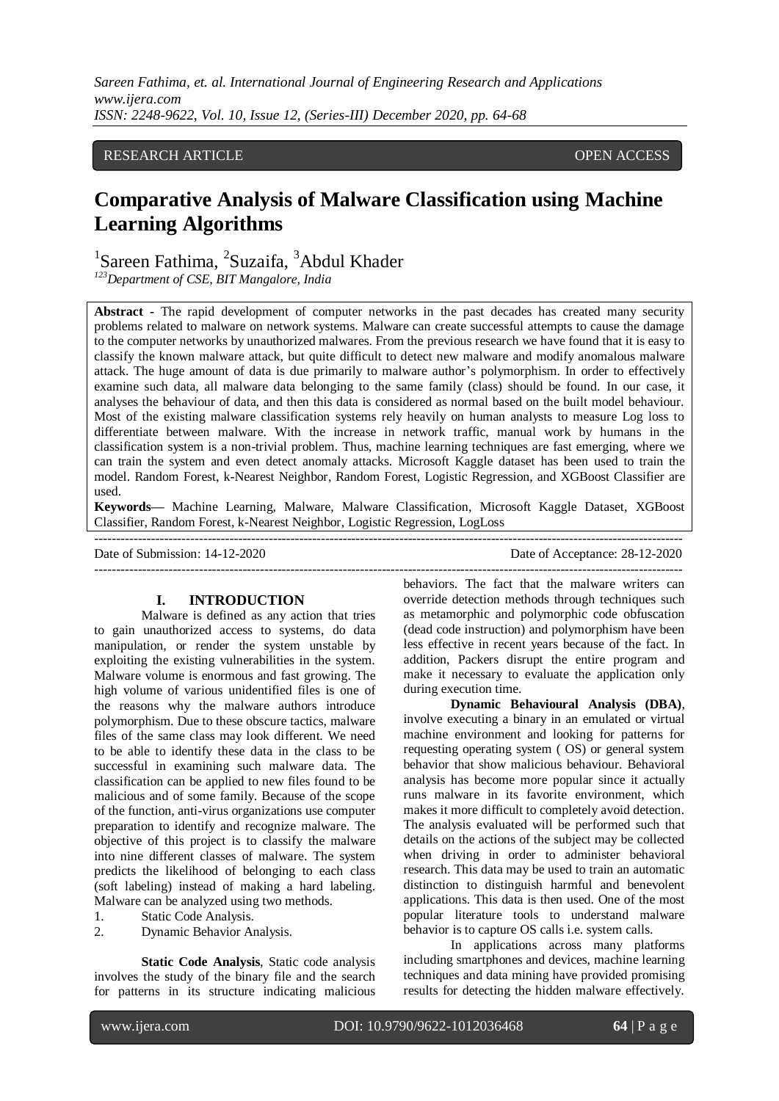*Sareen Fathima, et. al. International Journal of Engineering Research and Applications www.ijera.com ISSN: 2248-9622, Vol. 10, Issue 12, (Series-III) December 2020, pp. 64-68*

# RESEARCH ARTICLE **CONSERVERS** OPEN ACCESS

# **Comparative Analysis of Malware Classification using Machine Learning Algorithms**

<sup>1</sup>Sareen Fathima, <sup>2</sup>Suzaifa, <sup>3</sup>Abdul Khader

*<sup>123</sup>Department of CSE, BIT Mangalore, India*

**Abstract -** The rapid development of computer networks in the past decades has created many security problems related to malware on network systems. Malware can create successful attempts to cause the damage to the computer networks by unauthorized malwares. From the previous research we have found that it is easy to classify the known malware attack, but quite difficult to detect new malware and modify anomalous malware attack. The huge amount of data is due primarily to malware author's polymorphism. In order to effectively examine such data, all malware data belonging to the same family (class) should be found. In our case, it analyses the behaviour of data, and then this data is considered as normal based on the built model behaviour. Most of the existing malware classification systems rely heavily on human analysts to measure Log loss to differentiate between malware. With the increase in network traffic, manual work by humans in the classification system is a non-trivial problem. Thus, machine learning techniques are fast emerging, where we can train the system and even detect anomaly attacks. Microsoft Kaggle dataset has been used to train the model. Random Forest, k-Nearest Neighbor, Random Forest, Logistic Regression, and XGBoost Classifier are used.

**Keywords—** Machine Learning, Malware, Malware Classification, Microsoft Kaggle Dataset, XGBoost Classifier, Random Forest, k-Nearest Neighbor, Logistic Regression, LogLoss

--------------------------------------------------------------------------------------------------------------------------------------- Date of Submission: 14-12-2020 Date of Acceptance: 28-12-2020 ---------------------------------------------------------------------------------------------------------------------------------------

# **I. INTRODUCTION**

Malware is defined as any action that tries to gain unauthorized access to systems, do data manipulation, or render the system unstable by exploiting the existing vulnerabilities in the system. Malware volume is enormous and fast growing. The high volume of various unidentified files is one of the reasons why the malware authors introduce polymorphism. Due to these obscure tactics, malware files of the same class may look different. We need to be able to identify these data in the class to be successful in examining such malware data. The classification can be applied to new files found to be malicious and of some family. Because of the scope of the function, anti-virus organizations use computer preparation to identify and recognize malware. The objective of this project is to classify the malware into nine different classes of malware. The system predicts the likelihood of belonging to each class (soft labeling) instead of making a hard labeling. Malware can be analyzed using two methods.

- 1. Static Code Analysis.
- 2. Dynamic Behavior Analysis.

**Static Code Analysis**, Static code analysis involves the study of the binary file and the search for patterns in its structure indicating malicious behaviors. The fact that the malware writers can override detection methods through techniques such as metamorphic and polymorphic code obfuscation (dead code instruction) and polymorphism have been less effective in recent years because of the fact. In addition, Packers disrupt the entire program and make it necessary to evaluate the application only during execution time.

**Dynamic Behavioural Analysis (DBA)**, involve executing a binary in an emulated or virtual machine environment and looking for patterns for requesting operating system ( OS) or general system behavior that show malicious behaviour. Behavioral analysis has become more popular since it actually runs malware in its favorite environment, which makes it more difficult to completely avoid detection. The analysis evaluated will be performed such that details on the actions of the subject may be collected when driving in order to administer behavioral research. This data may be used to train an automatic distinction to distinguish harmful and benevolent applications. This data is then used. One of the most popular literature tools to understand malware behavior is to capture OS calls i.e. system calls.

In applications across many platforms including smartphones and devices, machine learning techniques and data mining have provided promising results for detecting the hidden malware effectively.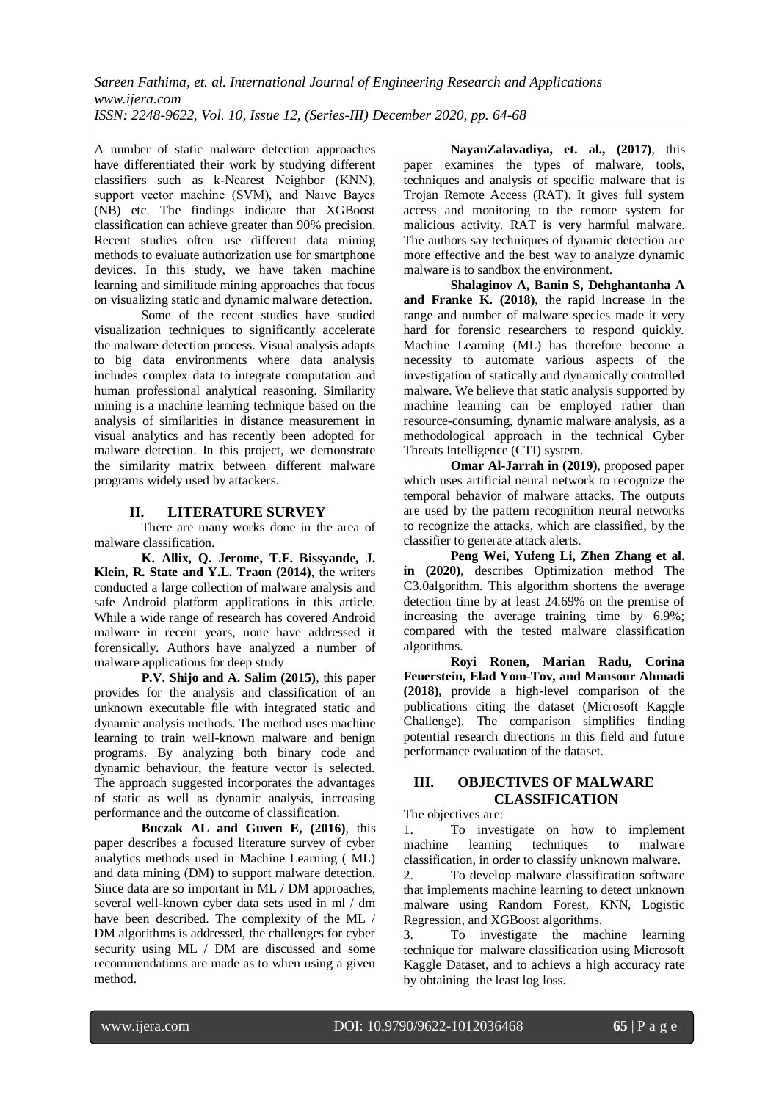A number of static malware detection approaches have differentiated their work by studying different classifiers such as k-Nearest Neighbor (KNN), support vector machine (SVM), and Naıve Bayes (NB) etc. The findings indicate that XGBoost classification can achieve greater than 90% precision. Recent studies often use different data mining methods to evaluate authorization use for smartphone devices. In this study, we have taken machine learning and similitude mining approaches that focus on visualizing static and dynamic malware detection.

Some of the recent studies have studied visualization techniques to significantly accelerate the malware detection process. Visual analysis adapts to big data environments where data analysis includes complex data to integrate computation and human professional analytical reasoning. Similarity mining is a machine learning technique based on the analysis of similarities in distance measurement in visual analytics and has recently been adopted for malware detection. In this project, we demonstrate the similarity matrix between different malware programs widely used by attackers.

# **II. LITERATURE SURVEY**

There are many works done in the area of malware classification.

**K. Allix, Q. Jerome, T.F. Bissyande, J. Klein, R. State and Y.L. Traon (2014)**, the writers conducted a large collection of malware analysis and safe Android platform applications in this article. While a wide range of research has covered Android malware in recent years, none have addressed it forensically. Authors have analyzed a number of malware applications for deep study

**P.V. Shijo and A. Salim (2015)**, this paper provides for the analysis and classification of an unknown executable file with integrated static and dynamic analysis methods. The method uses machine learning to train well-known malware and benign programs. By analyzing both binary code and dynamic behaviour, the feature vector is selected. The approach suggested incorporates the advantages of static as well as dynamic analysis, increasing performance and the outcome of classification.

**Buczak AL and Guven E, (2016)**, this paper describes a focused literature survey of cyber analytics methods used in Machine Learning ( ML) and data mining (DM) to support malware detection. Since data are so important in ML / DM approaches, several well-known cyber data sets used in ml / dm have been described. The complexity of the ML / DM algorithms is addressed, the challenges for cyber security using ML / DM are discussed and some recommendations are made as to when using a given method.

**NayanZalavadiya, et. al., (2017)**, this paper examines the types of malware, tools, techniques and analysis of specific malware that is Trojan Remote Access (RAT). It gives full system access and monitoring to the remote system for malicious activity. RAT is very harmful malware. The authors say techniques of dynamic detection are more effective and the best way to analyze dynamic malware is to sandbox the environment.

**Shalaginov A, Banin S, Dehghantanha A and Franke K. (2018)**, the rapid increase in the range and number of malware species made it very hard for forensic researchers to respond quickly. Machine Learning (ML) has therefore become a necessity to automate various aspects of the investigation of statically and dynamically controlled malware. We believe that static analysis supported by machine learning can be employed rather than resource-consuming, dynamic malware analysis, as a methodological approach in the technical Cyber Threats Intelligence (CTI) system.

**Omar Al-Jarrah in (2019)**, proposed paper which uses artificial neural network to recognize the temporal behavior of malware attacks. The outputs are used by the pattern recognition neural networks to recognize the attacks, which are classified, by the classifier to generate attack alerts.

**Peng Wei, Yufeng Li, Zhen Zhang et al. in (2020)**, describes Optimization method The C3.0algorithm. This algorithm shortens the average detection time by at least 24.69% on the premise of increasing the average training time by 6.9%; compared with the tested malware classification algorithms.

**Royi Ronen, Marian Radu, Corina Feuerstein, Elad Yom-Tov, and Mansour Ahmadi (2018),** provide a high-level comparison of the publications citing the dataset (Microsoft Kaggle Challenge). The comparison simplifies finding potential research directions in this field and future performance evaluation of the dataset.

# **III. OBJECTIVES OF MALWARE CLASSIFICATION**

The objectives are:

1. To investigate on how to implement machine learning techniques to malware classification, in order to classify unknown malware.

2. To develop malware classification software that implements machine learning to detect unknown malware using Random Forest, KNN, Logistic Regression, and XGBoost algorithms.

3. To investigate the machine learning technique for malware classification using Microsoft Kaggle Dataset, and to achievs a high accuracy rate by obtaining the least log loss.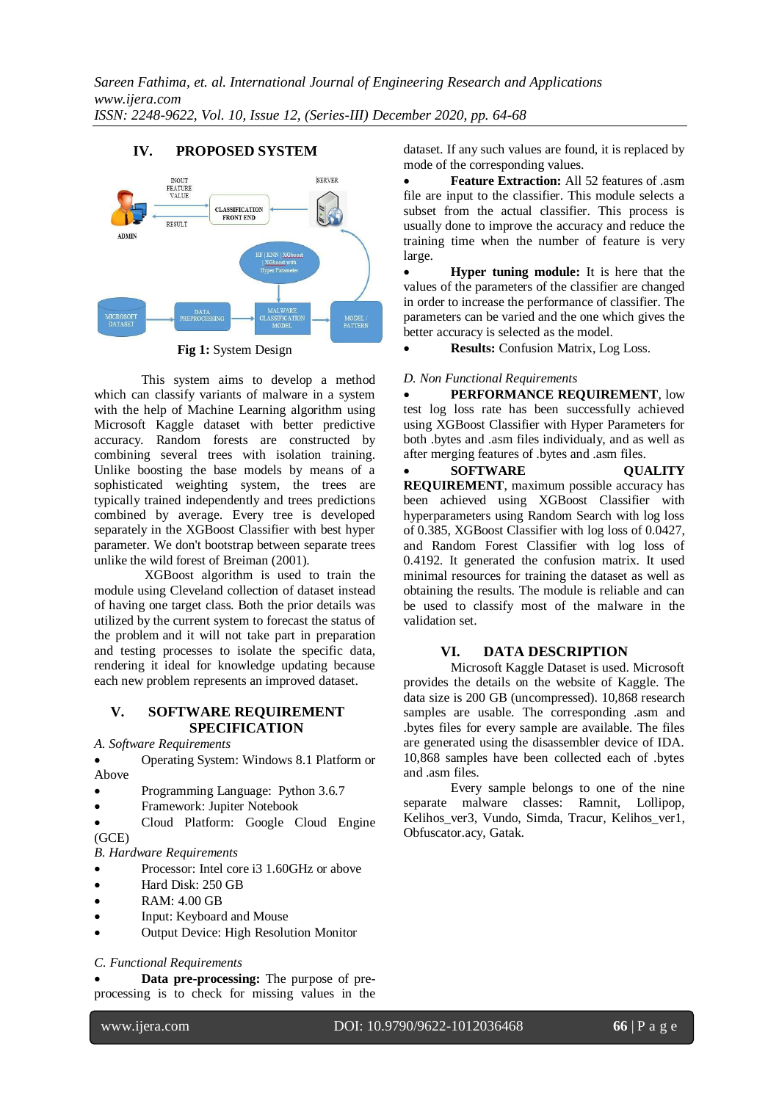# **IV. PROPOSED SYSTEM**



**Fig 1:** System Design

This system aims to develop a method which can classify variants of malware in a system with the help of Machine Learning algorithm using Microsoft Kaggle dataset with better predictive accuracy. Random forests are constructed by combining several trees with isolation training. Unlike boosting the base models by means of a sophisticated weighting system, the trees are typically trained independently and trees predictions combined by average. Every tree is developed separately in the XGBoost Classifier with best hyper parameter. We don't bootstrap between separate trees unlike the wild forest of Breiman (2001).

 XGBoost algorithm is used to train the module using Cleveland collection of dataset instead of having one target class. Both the prior details was utilized by the current system to forecast the status of the problem and it will not take part in preparation and testing processes to isolate the specific data, rendering it ideal for knowledge updating because each new problem represents an improved dataset.

# **V. SOFTWARE REQUIREMENT SPECIFICATION**

*A. Software Requirements*

 Operating System: Windows 8.1 Platform or Above

- Programming Language: Python 3.6.7
- Framework: Jupiter Notebook

 Cloud Platform: Google Cloud Engine (GCE)

*B. Hardware Requirements*

- Processor: Intel core i3 1.60GHz or above
- Hard Disk: 250 GB
- RAM: 4.00 GB
- Input: Keyboard and Mouse
- Output Device: High Resolution Monitor

# *C. Functional Requirements*

 **Data pre-processing:** The purpose of preprocessing is to check for missing values in the dataset. If any such values are found, it is replaced by mode of the corresponding values.

**Feature Extraction:** All 52 features of .asm file are input to the classifier. This module selects a subset from the actual classifier. This process is usually done to improve the accuracy and reduce the training time when the number of feature is very large.

 **Hyper tuning module:** It is here that the values of the parameters of the classifier are changed in order to increase the performance of classifier. The parameters can be varied and the one which gives the better accuracy is selected as the model.

**Results:** Confusion Matrix, Log Loss.

#### *D. Non Functional Requirements*

 **PERFORMANCE REQUIREMENT**, low test log loss rate has been successfully achieved using XGBoost Classifier with Hyper Parameters for both .bytes and .asm files individualy, and as well as after merging features of .bytes and .asm files.

**SOFTWARE QUALITY REQUIREMENT**, maximum possible accuracy has been achieved using XGBoost Classifier with hyperparameters using Random Search with log loss of 0.385, XGBoost Classifier with log loss of 0.0427, and Random Forest Classifier with log loss of 0.4192. It generated the confusion matrix. It used minimal resources for training the dataset as well as obtaining the results. The module is reliable and can be used to classify most of the malware in the validation set.

# **VI. DATA DESCRIPTION**

Microsoft Kaggle Dataset is used. Microsoft provides the details on the website of Kaggle. The data size is 200 GB (uncompressed). 10,868 research samples are usable. The corresponding .asm and .bytes files for every sample are available. The files are generated using the disassembler device of IDA. 10,868 samples have been collected each of .bytes and .asm files.

Every sample belongs to one of the nine separate malware classes: Ramnit, Lollipop, Kelihos ver3, Vundo, Simda, Tracur, Kelihos ver1, Obfuscator.acy, Gatak.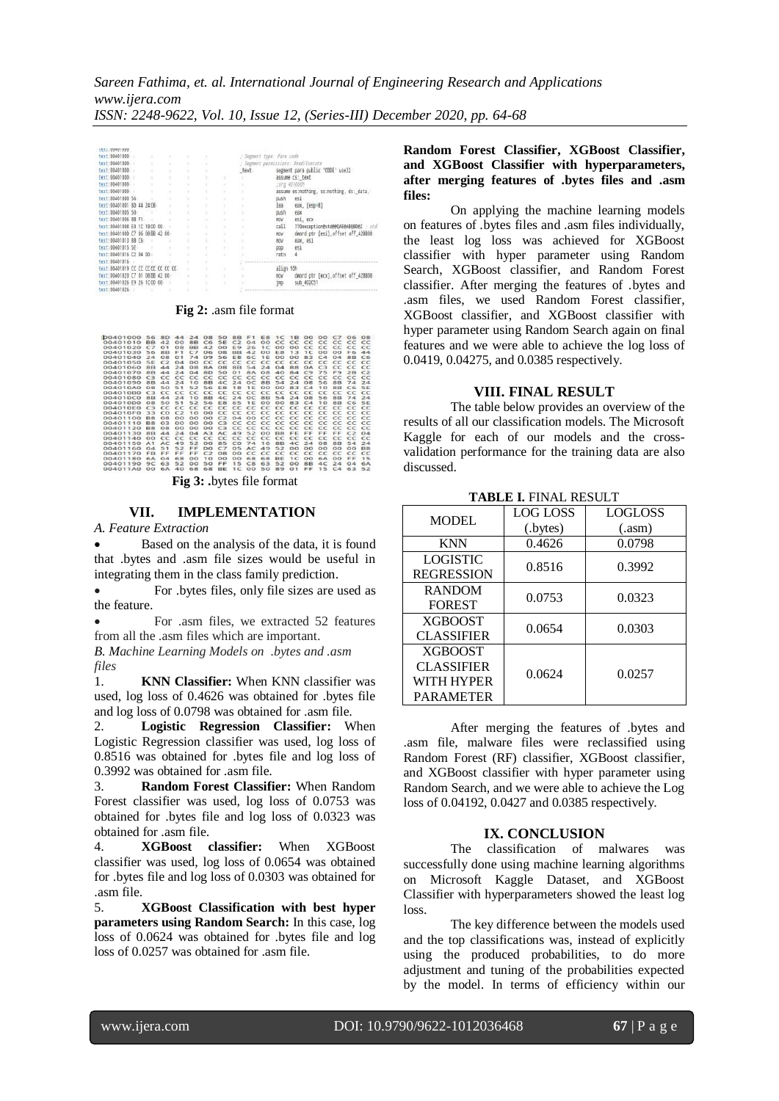| LMXT : UUNG FUUL                  |   |  |   |   |      |                           |                                          |
|-----------------------------------|---|--|---|---|------|---------------------------|------------------------------------------|
| text:00401000                     |   |  |   |   |      | : Segment type: Pure code |                                          |
| text:00401000                     |   |  |   |   |      |                           | : Segment permissions: Read/Execute      |
| text:00401000                     | ٠ |  |   |   | text |                           | segment para public 'CODE' use32         |
| text:00401000                     |   |  |   |   |      |                           | assume cs: text-                         |
| text:00401000                     |   |  | ٠ |   |      |                           | : org 401000h                            |
| text:00401000                     |   |  |   |   |      |                           | assume es:nothing, ss:nothing, ds:_data, |
| text:00401000 56                  |   |  |   |   |      | push                      | esi                                      |
| text:00401001 8D 44 24 08         |   |  |   |   |      | Iea                       | eax, [esp+8]                             |
| text:00401005 50                  |   |  |   |   |      | push                      | eax                                      |
|                                   |   |  |   |   |      |                           |                                          |
| text:00401006 8B F1               |   |  |   |   | ×    | <b>BOV</b>                | esi, ecx                                 |
| text:00401008 E8 1C 1B00 00       |   |  |   |   |      | call                      | ??Dexception@std@@QAE@ABQBD@Z ; std      |
| text:0040100D C7 06 08 98 42 00   |   |  |   |   |      | tioy:                     | dword ptr [esi], offset off_42BB08       |
| text:00401013 88 C6               |   |  |   |   |      | <b>BOV</b>                | eax, esi                                 |
| text:00401015 5E                  |   |  |   |   |      | pop                       | esi                                      |
| text:00401016 C2 04 00            |   |  |   | ٠ |      | retn                      | 4                                        |
| text:00401016                     |   |  |   |   |      |                           |                                          |
| text:00401019 CC CC CCCC CC CC CC |   |  |   |   |      | align 10h                 |                                          |
| text:00401020 C7 01 08 BB 42 00   |   |  |   | × |      | <b>BOV</b>                | dword ptr [ecx], offset off 42BB08       |
| text:00401026 E9 26 1C 00 00      |   |  |   | ٠ |      | 1mp                       | sub 402C51                               |
| text:00401026                     |   |  |   |   |      |                           |                                          |
|                                   |   |  |   |   |      |                           |                                          |

**Fig 2:** .asm file format

| 00401000 | 56                    | 8D             |                 | 44 24 08 50    |            |                      |                | 8B F1          |                                  | <b>E8 1C 1B</b>       |                | O <sub>O</sub>   | $^{\circ}$ | C7 06                        |                  | O <sub>8</sub>        |  |
|----------|-----------------------|----------------|-----------------|----------------|------------|----------------------|----------------|----------------|----------------------------------|-----------------------|----------------|------------------|------------|------------------------------|------------------|-----------------------|--|
| 00401010 | <b>BB</b>             | 42             | 00              | <b>8B</b>      | C6         | <b>SE</b>            | C2             | 0.4            | $\Omega$                         | cc                    |                | $cc \text{ } cc$ | cc         |                              | $cc \text{ } cc$ | cc                    |  |
| 00401020 | C7                    | $^{\Omega}$ 1  | OR              | <b>RR</b>      | 42         | $^{oo}$              | EQ             | 26             | TC                               | $\Omega$              | $\Omega$       | cc               | cc         | cc                           | cc               | cc                    |  |
| 00401030 | 56                    | <b>SIR</b>     | F1              | CZ             | 06         | <b>OB</b>            | <b>BB</b>      | 42             | $\overline{O}O$                  | E8                    | 13             | 1 <sup>C</sup>   | OO         | $\Omega$                     | F6               | 44                    |  |
| 00401040 | 24                    | OR             | O <sub>1</sub>  | 74             | 09         | 56                   | E8             | 6C             | <b>1E</b>                        | $^{\circ}$            | $^{\circ}$     | 83               | CA         | 0.4                          | <b>RR</b>        | C6                    |  |
| 00401050 | 5F                    | $\sim$         | 0.4             | $^{\circ}$     | cc         | cc                   | cc             | cc             | cc                               | cc                    | $\epsilon$     | cc               | cc         | $\epsilon$                   | cc               | cc                    |  |
| 00401060 | <b>8B</b>             | 44             | 24              | O <sub>B</sub> | 8A         | <b>O<sub>B</sub></b> | 8B             | 54             | 24                               | 0.4                   | <b>88</b>      | <b>OA</b>        | C3         | cc                           | cc               | cc                    |  |
| 00401070 | <b>RR</b>             | 44             | 24              | 04             | BD         | 50                   | O <sub>1</sub> | <b>RA</b>      | O <sub>B</sub>                   | 40                    | RA             | C9               | 75         | FQ                           | 2 <sub>R</sub>   | C2                    |  |
| 00401080 | C2                    | cc             | cc              | cc             | cc         | cc                   | cc             | cc             | cc                               | cc                    | cc             | cc               | cc         | cc                           | cc               | cc                    |  |
| 00401090 | <b>8B</b>             | 44             | 24              | 10             | 88         | AC                   | 24             | OC             | <b>8B</b>                        | 54                    | 24             | O <sub>B</sub>   | 56         | 8B                           | 74               | 24                    |  |
| 00401040 | $^{\Omega$            | 50             | 51              | 52             | 56         | F <sub>8</sub>       | 18             | 1F             | $^{\circ}$                       | $\Omega$              | 83             | CA               | 10         | 8 <sub>R</sub>               | C6               | SE                    |  |
| 004010B0 | C <sub>3</sub>        | cc             | cc              | $CC$ $CC$ $CC$ |            |                      |                |                | CC CC CC CC                      |                       | CC CC          |                  | cc         | cc                           | cc               | cc                    |  |
| 004010C0 | <b>8B</b>             | 44             | 24              | 10             | 8B         | AC                   | 24             | OC             | 8B                               | 54                    | 24             | O8               | 56         | 8B                           | 74               | 24                    |  |
| 00401000 | OR                    | 50             | 51              | 52             | 56         | F <sub>8</sub>       | 65             | 1F             | $\Omega$                         | $^{\circ}$            | 83             | CA               | 10         | 8 <sub>R</sub>               | C6               | SF                    |  |
| 004010E0 | C <sub>3</sub>        | cc             | cc              | cc             | cc         | cc                   |                |                | $CC$ $CC$ $CC$                   | CC                    |                | CC CC            | cc         |                              | CC CC            | cc                    |  |
| 004010F0 | 33                    | CO             | C2              | 10             | $^{\circ}$ | cc                   |                |                | CC CC CC CC CC CC CC CC CC CC CC |                       |                |                  |            |                              |                  |                       |  |
| 00401100 | <b>B</b> <sub>R</sub> | OR             | $\Omega$        | $^{\circ}$     | $^{\circ}$ | C2                   | 0.4            | $^{\circ}$     | cc                               | CC                    |                | $cc \ ce$        |            | $cc \text{ } cc \text{ } cc$ |                  | cc                    |  |
| 00401110 | <b>B</b> <sub>R</sub> | 0 <sup>3</sup> | $^{\circ}$      | $^{00}$        | $^{00}$    | C <sub>3</sub>       |                |                | CC CC CC CC CC CC                |                       |                |                  | cc         |                              | $cc$ $cc$        | cc                    |  |
| 00401120 | <b>B8</b>             | O8             | $\overline{O}O$ | O <sub>O</sub> | $\Omega$   | C3                   |                | CC CC          | cc                               | cc                    | CC CC          |                  | cc         | cc                           | CC               | cc                    |  |
| 00401130 | <b>8R</b>             | 44             | 24              | 04             | A3         | AC.                  | 49             | 52             | $\Omega$                         | <b>B</b> <sub>R</sub> | FF             | FF               | FF.        | FF                           | C2               | 0.4                   |  |
| 00401140 | $\Omega$              | cc             | cc              | CC             | cc         | cc                   | cc             | cc             | cc                               | cc                    | cc             | cc               | cc         | cc                           | cc               | cc                    |  |
| 00401150 | A <sub>1</sub>        | AC             | 49              | 52             | 00         | 85                   | CO             | 74             | 16                               | <b>8B</b>             | AC             | 24               | $^{\Omega$ | <b>8R</b>                    | 54               | 24                    |  |
| 00401160 | 0.4                   | 51             | 52              | FF             | DO         | C7                   | 05             | AC             | 49                               | 52                    | $^{\circ}$     | $^{\circ}$       | $\Omega$   | $^{\circ}$                   | $^{\circ}$       | <b>B</b> <sub>8</sub> |  |
| 00401170 | <b>FR</b>             | FF             | FF              | FF             | C2         | OR                   | $\Omega$       | cc             | cc                               | CC                    | cc             | cc               | cc         | cc                           | cc               | cc                    |  |
| 00401180 | 6A                    | 0.4            | 68              | $\Omega$       | 10         | $\overline{O}O$      | $^{\circ}$     | 68             | 68                               | BE                    | 1 <sup>C</sup> | $\Omega$         | 6A         | $\Omega$                     | FF               | 15                    |  |
| 00401190 | 90                    | 63             | 52              | $^{\circ}$     | 50         | FF                   | 15             | C8             | 63                               | 52                    | $^{\circ}$     | 8 <sub>B</sub>   | AC         | 24                           | 0.4              | 6A                    |  |
| 00401140 | O <sub>O</sub>        | 6A             | 40              | 68             | 68         | <b>BE</b>            | TC             | O <sub>O</sub> | 50                               | 89                    | O <sub>1</sub> | 巨巨               | 15         | C4                           | 63               | 52                    |  |

**Fig 3: .**bytes file format

#### **VII. IMPLEMENTATION**

*A. Feature Extraction*

 Based on the analysis of the data, it is found that .bytes and .asm file sizes would be useful in integrating them in the class family prediction.

 For .bytes files, only file sizes are used as the feature.

 For .asm files, we extracted 52 features from all the .asm files which are important.

*B. Machine Learning Models on .bytes and .asm files*

1. **KNN Classifier:** When KNN classifier was used, log loss of 0.4626 was obtained for .bytes file and log loss of 0.0798 was obtained for .asm file.

2. **Logistic Regression Classifier:** When Logistic Regression classifier was used, log loss of 0.8516 was obtained for .bytes file and log loss of 0.3992 was obtained for .asm file.

3. **Random Forest Classifier:** When Random Forest classifier was used, log loss of 0.0753 was obtained for .bytes file and log loss of 0.0323 was obtained for .asm file.

4. **XGBoost classifier:** When XGBoost classifier was used, log loss of 0.0654 was obtained for .bytes file and log loss of 0.0303 was obtained for .asm file.

5. **XGBoost Classification with best hyper parameters using Random Search:** In this case, log loss of 0.0624 was obtained for .bytes file and log loss of 0.0257 was obtained for .asm file.

**Random Forest Classifier, XGBoost Classifier, and XGBoost Classifier with hyperparameters, after merging features of .bytes files and .asm files:**

On applying the machine learning models on features of .bytes files and .asm files individually, the least log loss was achieved for XGBoost classifier with hyper parameter using Random Search, XGBoost classifier, and Random Forest classifier. After merging the features of .bytes and .asm files, we used Random Forest classifier, XGBoost classifier, and XGBoost classifier with hyper parameter using Random Search again on final features and we were able to achieve the log loss of 0.0419, 0.04275, and 0.0385 respectively.

# **VIII. FINAL RESULT**

The table below provides an overview of the results of all our classification models. The Microsoft Kaggle for each of our models and the crossvalidation performance for the training data are also discussed.

| <b>MODEL</b>      | <b>LOG LOSS</b> | LOGLOSS |  |  |  |  |  |  |  |
|-------------------|-----------------|---------|--|--|--|--|--|--|--|
|                   | (.bytes)        | (xam)   |  |  |  |  |  |  |  |
| <b>KNN</b>        | 0.4626          | 0.0798  |  |  |  |  |  |  |  |
| <b>LOGISTIC</b>   | 0.8516          | 0.3992  |  |  |  |  |  |  |  |
| <b>REGRESSION</b> |                 |         |  |  |  |  |  |  |  |
| <b>RANDOM</b>     | 0.0753          | 0.0323  |  |  |  |  |  |  |  |
| <b>FOREST</b>     |                 |         |  |  |  |  |  |  |  |
| <b>XGBOOST</b>    | 0.0654          | 0.0303  |  |  |  |  |  |  |  |
| <b>CLASSIFIER</b> |                 |         |  |  |  |  |  |  |  |
| <b>XGBOOST</b>    |                 |         |  |  |  |  |  |  |  |
| <b>CLASSIFIER</b> | 0.0624          | 0.0257  |  |  |  |  |  |  |  |
| WITH HYPER        |                 |         |  |  |  |  |  |  |  |
| <b>PARAMETER</b>  |                 |         |  |  |  |  |  |  |  |

**TABLE I.** FINAL RESULT

After merging the features of .bytes and .asm file, malware files were reclassified using Random Forest (RF) classifier, XGBoost classifier, and XGBoost classifier with hyper parameter using Random Search, and we were able to achieve the Log loss of 0.04192, 0.0427 and 0.0385 respectively.

#### **IX. CONCLUSION**

The classification of malwares was successfully done using machine learning algorithms on Microsoft Kaggle Dataset, and XGBoost Classifier with hyperparameters showed the least log loss.

The key difference between the models used and the top classifications was, instead of explicitly using the produced probabilities, to do more adjustment and tuning of the probabilities expected by the model. In terms of efficiency within our